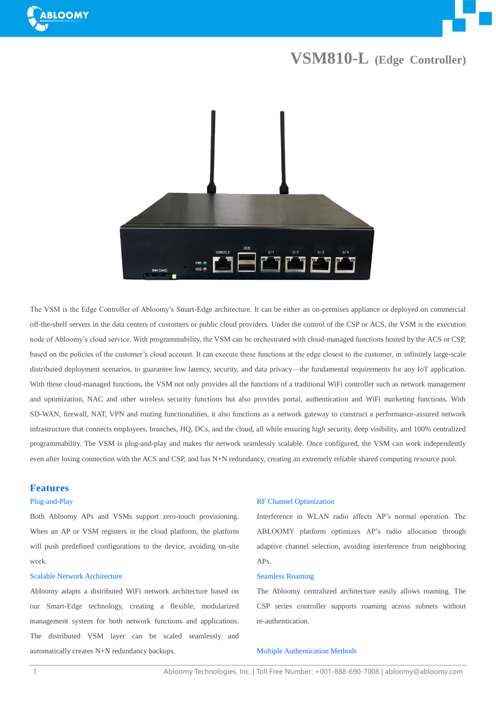



## **VSM810-L (Edge Controller)**



The VSM is the Edge Controller of Abloomy's Smart-Edge architecture. It can be either an on-premises appliance or deployed on commercial off-the-shelf servers in the data centers of customers or public cloud providers. Under the control of the CSP or ACS, the VSM is the execution node of Abloomy's cloud service. With programmability, the VSM can be orchestrated with cloud-managed functions hosted by the ACS or CSP, based on the policies of the customer's cloud account. It can execute these functions at the edge closest to the customer, in infinitely large-scale distributed deployment scenarios, to guarantee low latency, security, and data privacy—the fundamental requirements for any IoT application. With these cloud-managed functions, the VSM not only provides all the functions of a traditional WiFi controller such as network management and optimization, NAC and other wireless security functions but also provides portal, authentication and WiFi marketing functions. With SD-WAN, firewall, NAT, VPN and routing functionalities, it also functions as a network gateway to construct a performance-assured network infrastructure that connects employees, branches, HQ, DCs, and the cloud, all while ensuring high security, deep visibility, and 100% centralized programmability. The VSM is plug-and-play and makes the network seamlessly scalable. Once configured, the VSM can work independently even after losing connection with the ACS and CSP, and has N+N redundancy, creating an extremely reliable shared computing resource pool.

### **Features**

#### Plug-and-Play

Both Abloomy APs and VSMs support zero-touch provisioning. When an AP or VSM registers in the cloud platform, the platform will push predefined configurations to the device, avoiding on-site work.

#### Scalable Network Architecture

Abloomy adapts a distributed WiFi network architecture based on our Smart-Edge technology, creating a flexible, modularized management system for both network functions and applications. The distributed VSM layer can be scaled seamlessly and automatically creates N+N redundancy backups.

#### RF Channel Optimization

Interference in WLAN radio affects AP's normal operation. The ABLOOMY platform optimizes AP's radio allocation through adaptive channel selection, avoiding interference from neighboring APs.

#### Seamless Roaming

The Abloomy centralized architecture easily allows roaming. The CSP series controller supports roaming across subnets without re-authentication.

#### Multiple Authentication Methods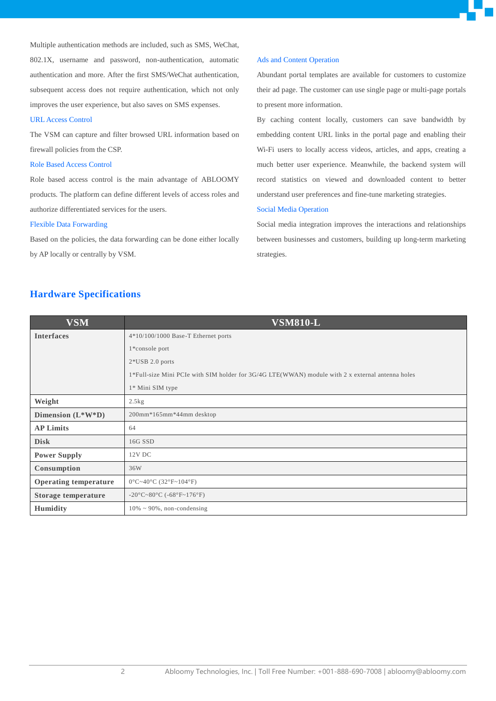Multiple authentication methods are included, such as SMS, WeChat, 802.1X, username and password, non-authentication, automatic authentication and more. After the first SMS/WeChat authentication, subsequent access does not require authentication, which not only improves the user experience, but also saves on SMS expenses.

#### URL Access Control

The VSM can capture and filter browsed URL information based on firewall policies from the CSP.

#### Role Based Access Control

Role based access control is the main advantage of ABLOOMY products. The platform can define different levels of access roles and authorize differentiated services for the users.

#### Flexible Data Forwarding

Based on the policies, the data forwarding can be done either locally by AP locally or centrally by VSM.

## **Hardware Specifications**

#### Ads and Content Operation

Abundant portal templates are available for customers to customize their ad page. The customer can use single page or multi-page portals to present more information.

By caching content locally, customers can save bandwidth by embedding content URL links in the portal page and enabling their Wi-Fi users to locally access videos, articles, and apps, creating a much better user experience. Meanwhile, the backend system will record statistics on viewed and downloaded content to better understand user preferences and fine-tune marketing strategies.

#### Social Media Operation

Social media integration improves the interactions and relationships between businesses and customers, building up long-term marketing strategies.

| <b>VSM</b>                   | <b>VSM810-L</b>                                                                                                                  |
|------------------------------|----------------------------------------------------------------------------------------------------------------------------------|
| <b>Interfaces</b>            | $4*10/100/1000$ Base-T Ethernet ports                                                                                            |
|                              | 1*console port                                                                                                                   |
|                              | $2*USB 2.0$ ports                                                                                                                |
|                              | 1*Full-size Mini PCIe with SIM holder for 3G/4G LTE(WWAN) module with 2 x external antenna holes                                 |
|                              | 1* Mini SIM type                                                                                                                 |
| Weight                       | 2.5kg                                                                                                                            |
| Dimension $(L^*W^*D)$        | 200mm*165mm*44mm desktop                                                                                                         |
| <b>AP Limits</b>             | 64                                                                                                                               |
| <b>Disk</b>                  | 16G SSD                                                                                                                          |
| <b>Power Supply</b>          | 12V DC                                                                                                                           |
| Consumption                  | 36W                                                                                                                              |
| <b>Operating temperature</b> | $0 \text{ }^{\circ}\text{C} \sim 40 \text{ }^{\circ}\text{C}$ (32 $\text{ }^{\circ}\text{F} \sim 104 \text{ }^{\circ}\text{F}$ ) |
| Storage temperature          | -20 °C ~ 80 °C (-68 °F ~ 176 °F)                                                                                                 |
| <b>Humidity</b>              | $10\% \sim 90\%$ , non-condensing                                                                                                |